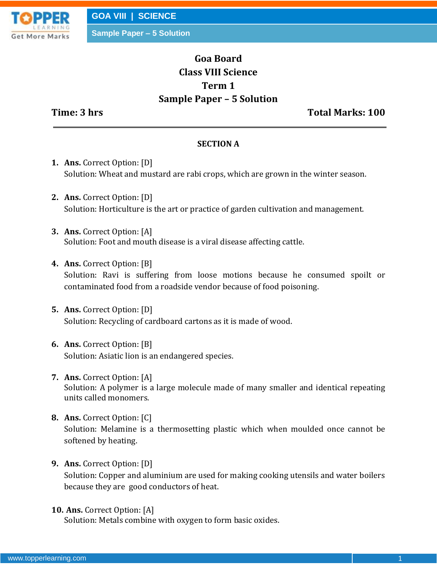

# **Goa Board Class VIII Science Term 1 Sample Paper – 5 Solution**

**Time: 3 hrs** Total Marks: 100

# **SECTION A**

- **1. Ans.** Correct Option: [D] Solution: Wheat and mustard are rabi crops, which are grown in the winter season.
- **2. Ans.** Correct Option: [D] Solution: Horticulture is the art or practice of garden cultivation and management.
- **3. Ans.** Correct Option: [A] Solution: Foot and mouth disease is a viral disease affecting cattle.
- **4. Ans.** Correct Option: [B] Solution: Ravi is suffering from loose motions because he consumed spoilt or contaminated food from a roadside vendor because of food poisoning.
- **5. Ans.** Correct Option: [D] Solution: Recycling of cardboard cartons as it is made of wood.
- **6. Ans.** Correct Option: [B] Solution: Asiatic lion is an endangered species.
- **7. Ans.** Correct Option: [A] Solution: A polymer is a large molecule made of many smaller and identical repeating units called monomers.
- **8. Ans.** Correct Option: [C] Solution: Melamine is a thermosetting plastic which when moulded once cannot be softened by heating.
- **9. Ans.** Correct Option: [D]

Solution: Copper and aluminium are used for making cooking utensils and water boilers because they are good conductors of heat.

**10. Ans.** Correct Option: [A]

Solution: Metals combine with oxygen to form basic oxides.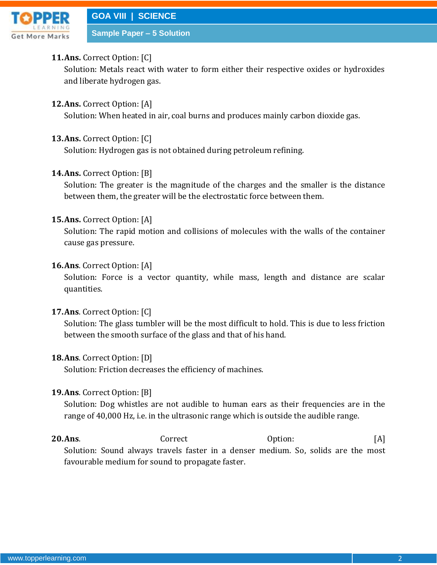

# **11.Ans.** Correct Option: [C]

Solution: Metals react with water to form either their respective oxides or hydroxides and liberate hydrogen gas.

# **12.Ans.** Correct Option: [A]

Solution: When heated in air, coal burns and produces mainly carbon dioxide gas.

# **13.Ans.** Correct Option: [C]

Solution: Hydrogen gas is not obtained during petroleum refining.

## **14.Ans.** Correct Option: [B]

Solution: The greater is the magnitude of the charges and the smaller is the distance between them, the greater will be the electrostatic force between them.

## **15.Ans.** Correct Option: [A]

Solution: The rapid motion and collisions of molecules with the walls of the container cause gas pressure.

## **16.Ans**. Correct Option: [A]

Solution: Force is a vector quantity, while mass, length and distance are scalar quantities.

### **17.Ans**. Correct Option: [C]

Solution: The glass tumbler will be the most difficult to hold. This is due to less friction between the smooth surface of the glass and that of his hand.

### **18.Ans**. Correct Option: [D]

Solution: Friction decreases the efficiency of machines.

### **19.Ans**. Correct Option: [B]

Solution: Dog whistles are not audible to human ears as their frequencies are in the range of 40,000 Hz, i.e. in the ultrasonic range which is outside the audible range.

**20.Ans**. Correct Option: [A] Solution: Sound always travels faster in a denser medium. So, solids are the most favourable medium for sound to propagate faster.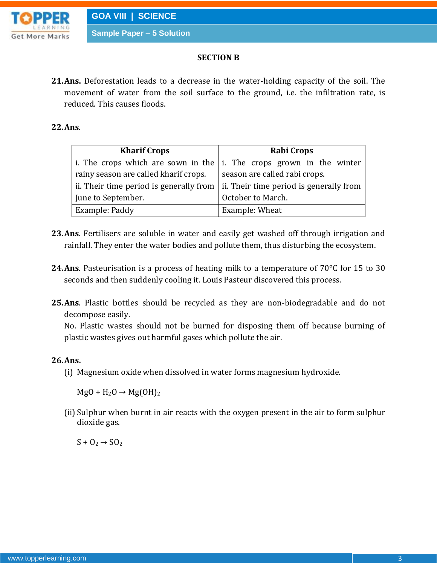

#### **SECTION B**

**21.Ans.** Deforestation leads to a decrease in the water-holding capacity of the soil. The movement of water from the soil surface to the ground, i.e. the infiltration rate, is reduced. This causes floods.

#### **22.Ans**.

| <b>Kharif Crops</b>                                                                     | Rabi Crops                    |  |  |  |  |  |
|-----------------------------------------------------------------------------------------|-------------------------------|--|--|--|--|--|
| i. The crops which are sown in the i. The crops grown in the winter                     |                               |  |  |  |  |  |
| rainy season are called kharif crops.                                                   | season are called rabi crops. |  |  |  |  |  |
| ii. Their time period is generally from $\vert$ ii. Their time period is generally from |                               |  |  |  |  |  |
| June to September.                                                                      | October to March.             |  |  |  |  |  |
| Example: Paddy                                                                          | Example: Wheat                |  |  |  |  |  |

- **23.Ans**. Fertilisers are soluble in water and easily get washed off through irrigation and rainfall. They enter the water bodies and pollute them, thus disturbing the ecosystem.
- **24.Ans**. Pasteurisation is a process of heating milk to a temperature of 70°C for 15 to 30 seconds and then suddenly cooling it. Louis Pasteur discovered this process.
- **25.Ans**. Plastic bottles should be recycled as they are non-biodegradable and do not decompose easily.

No. Plastic wastes should not be burned for disposing them off because burning of plastic wastes gives out harmful gases which pollute the air.

#### **26.Ans.**

(i) Magnesium oxide when dissolved in water forms magnesium hydroxide.

 $MgO + H<sub>2</sub>O \rightarrow Mg(OH)<sub>2</sub>$ 

(ii)Sulphur when burnt in air reacts with the oxygen present in the air to form sulphur dioxide gas.

 $S + O_2 \rightarrow SO_2$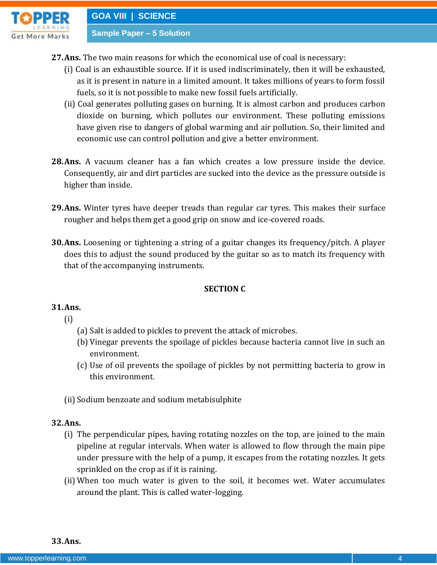

**27.Ans.** The two main reasons for which the economical use of coal is necessary:

- (i) Coal is an exhaustible source. If it is used indiscriminately, then it will be exhausted, as it is present in nature in a limited amount. It takes millions of years to form fossil fuels, so it is not possible to make new fossil fuels artificially.
- (ii) Coal generates polluting gases on burning. It is almost carbon and produces carbon dioxide on burning, which pollutes our environment. These polluting emissions have given rise to dangers of global warming and air pollution. So, their limited and economic use can control pollution and give a better environment.
- **28.Ans.** A vacuum cleaner has a fan which creates a low pressure inside the device. Consequently, air and dirt particles are sucked into the device as the pressure outside is higher than inside.
- **29.Ans.** Winter tyres have deeper treads than regular car tyres. This makes their surface rougher and helps them get a good grip on snow and ice-covered roads.
- **30.Ans.** Loosening or tightening a string of a guitar changes its frequency/pitch. A player does this to adjust the sound produced by the guitar so as to match its frequency with that of the accompanying instruments.

### **SECTION C**

## **31.Ans.**

(i)

- (a) Salt is added to pickles to prevent the attack of microbes.
- (b) Vinegar prevents the spoilage of pickles because bacteria cannot live in such an environment.
- (c) Use of oil prevents the spoilage of pickles by not permitting bacteria to grow in this environment.
- (ii) Sodium benzoate and sodium metabisulphite

### **32.Ans.**

- (i) The perpendicular pipes, having rotating nozzles on the top, are joined to the main pipeline at regular intervals. When water is allowed to flow through the main pipe under pressure with the help of a pump, it escapes from the rotating nozzles. It gets sprinkled on the crop as if it is raining.
- (ii) When too much water is given to the soil, it becomes wet. Water accumulates around the plant. This is called water-logging.

**33.Ans.**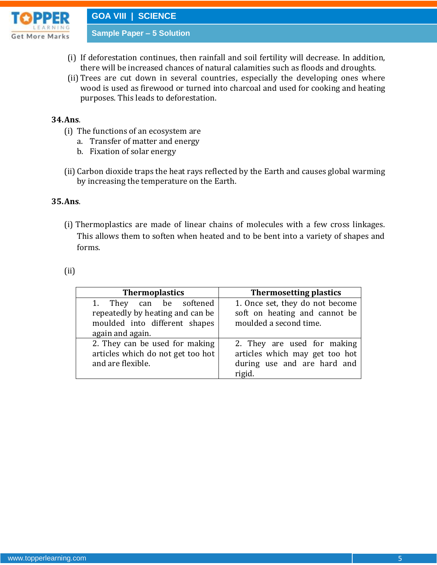

**GOA VIII | SCIENCE**

**Sample Paper – 5 Solution**

- (i) If deforestation continues, then rainfall and soil fertility will decrease. In addition, there will be increased chances of natural calamities such as floods and droughts.
- (ii) Trees are cut down in several countries, especially the developing ones where wood is used as firewood or turned into charcoal and used for cooking and heating purposes. This leads to deforestation.

### **34.Ans**.

- (i) The functions of an ecosystem are
	- a. Transfer of matter and energy
	- b. Fixation of solar energy
- (ii) Carbon dioxide traps the heat rays reflected by the Earth and causes global warming by increasing the temperature on the Earth.

#### **35.Ans**.

(i) Thermoplastics are made of linear chains of molecules with a few cross linkages. This allows them to soften when heated and to be bent into a variety of shapes and forms.

#### (ii)

| <b>Thermoplastics</b>             | <b>Thermosetting plastics</b>   |  |  |  |  |
|-----------------------------------|---------------------------------|--|--|--|--|
| 1. They can be softened           | 1. Once set, they do not become |  |  |  |  |
| repeatedly by heating and can be  | soft on heating and cannot be   |  |  |  |  |
| moulded into different shapes     | moulded a second time.          |  |  |  |  |
| again and again.                  |                                 |  |  |  |  |
| 2. They can be used for making    | 2. They are used for making     |  |  |  |  |
| articles which do not get too hot | articles which may get too hot  |  |  |  |  |
| and are flexible.                 | during use and are hard and     |  |  |  |  |
|                                   | rigid.                          |  |  |  |  |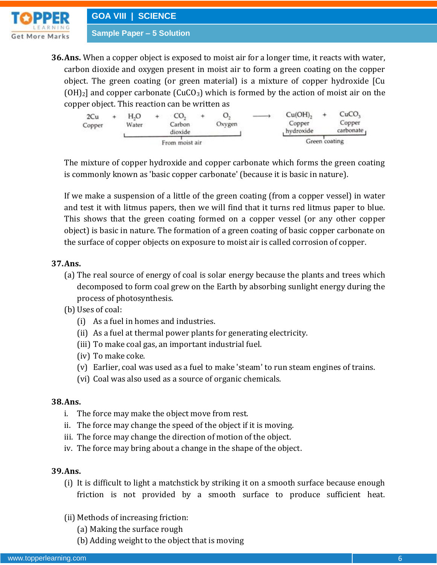

**36.Ans.** When a copper object is exposed to moist air for a longer time, it reacts with water, carbon dioxide and oxygen present in moist air to form a green coating on the copper object. The green coating (or green material) is a mixture of copper hydroxide [Cu  $(OH)_2$ ] and copper carbonate  $(CuCO_3)$  which is formed by the action of moist air on the copper object. This reaction can be written as

| 2Cu<br>Copper | H,O<br>Water   |  | CO.<br>Carbon<br>dioxide |  | O,<br>Oxygen  | Cu(OH),<br>Copper<br>hydroxide |  | CuCO <sub>3</sub><br>Copper<br>carbonate, |
|---------------|----------------|--|--------------------------|--|---------------|--------------------------------|--|-------------------------------------------|
|               | From moist air |  |                          |  | Green coating |                                |  |                                           |

The mixture of copper hydroxide and copper carbonate which forms the green coating is commonly known as 'basic copper carbonate' (because it is basic in nature).

If we make a suspension of a little of the green coating (from a copper vessel) in water and test it with litmus papers, then we will find that it turns red litmus paper to blue. This shows that the green coating formed on a copper vessel (or any other copper object) is basic in nature. The formation of a green coating of basic copper carbonate on the surface of copper objects on exposure to moist air is called corrosion of copper.

### **37.Ans.**

- (a) The real source of energy of coal is solar energy because the plants and trees which decomposed to form coal grew on the Earth by absorbing sunlight energy during the process of photosynthesis.
- (b) Uses of coal:
	- (i) As a fuel in homes and industries.
	- (ii) As a fuel at thermal power plants for generating electricity.
	- (iii) To make coal gas, an important industrial fuel.
	- (iv) To make coke.
	- (v) Earlier, coal was used as a fuel to make 'steam' to run steam engines of trains.
	- (vi) Coal was also used as a source of organic chemicals.

### **38.Ans.**

- i. The force may make the object move from rest.
- ii. The force may change the speed of the object if it is moving.
- iii. The force may change the direction of motion of the object.
- iv. The force may bring about a change in the shape of the object.

## **39.Ans.**

- (i) It is difficult to light a matchstick by striking it on a smooth surface because enough friction is not provided by a smooth surface to produce sufficient heat.
- (ii) Methods of increasing friction:
	- (a) Making the surface rough
	- (b) Adding weight to the object that is moving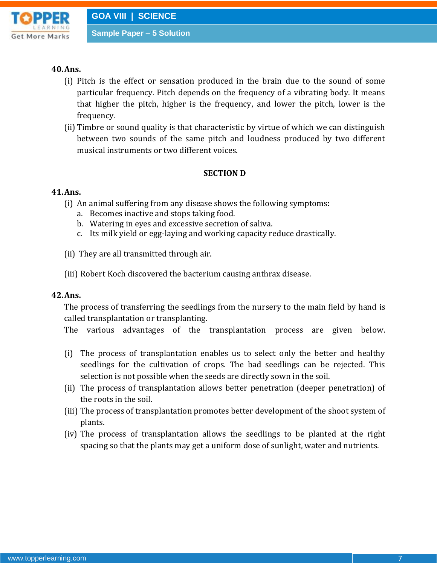

#### **40.Ans.**

- (i) Pitch is the effect or sensation produced in the brain due to the sound of some particular frequency. Pitch depends on the frequency of a vibrating body. It means that higher the pitch, higher is the frequency, and lower the pitch, lower is the frequency.
- (ii) Timbre or sound quality is that characteristic by virtue of which we can distinguish between two sounds of the same pitch and loudness produced by two different musical instruments or two different voices.

#### **SECTION D**

#### **41.Ans.**

- (i) An animal suffering from any disease shows the following symptoms:
	- a. Becomes inactive and stops taking food.
	- b. Watering in eyes and excessive secretion of saliva.
	- c. Its milk yield or egg-laying and working capacity reduce drastically.
- (ii) They are all transmitted through air.
- (iii) Robert Koch discovered the bacterium causing anthrax disease.

#### **42.Ans.**

The process of transferring the seedlings from the nursery to the main field by hand is called transplantation or transplanting.

The various advantages of the transplantation process are given below.

- (i) The process of transplantation enables us to select only the better and healthy seedlings for the cultivation of crops. The bad seedlings can be rejected. This selection is not possible when the seeds are directly sown in the soil.
- (ii) The process of transplantation allows better penetration (deeper penetration) of the roots in the soil.
- (iii) The process of transplantation promotes better development of the shoot system of plants.
- (iv) The process of transplantation allows the seedlings to be planted at the right spacing so that the plants may get a uniform dose of sunlight, water and nutrients.